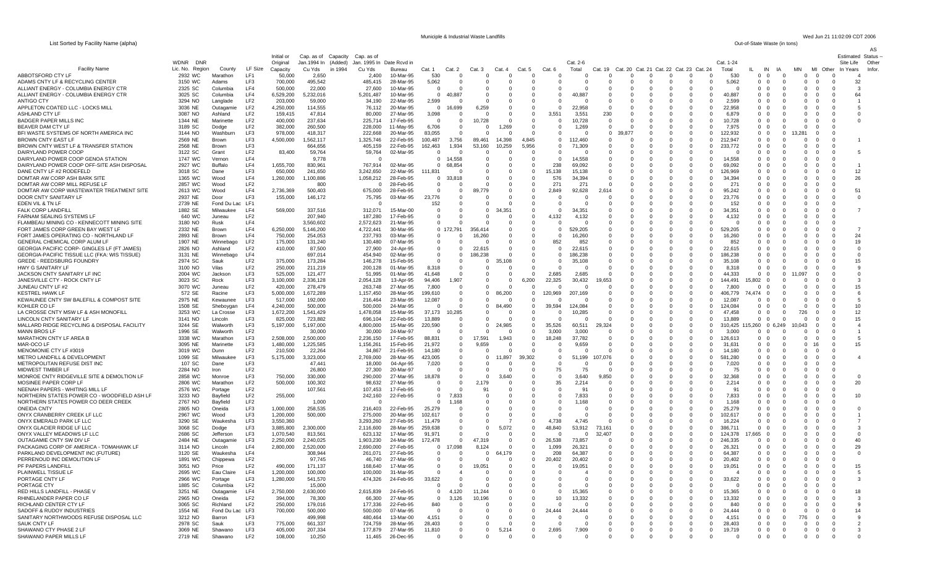List Sorted by Facility Name (alpha)

Municiple & Industrial Waste Landfills Wed Jun 21 11:02:09 CDT 2006<br>Out-of-State Waste (in tons)

|                                                                         |                                       |                       |                                    | Initial or             | Cap. as of Capacity Cap. as of |         |                          |                               |                         |                      |                      |                      |                            |                      |                   |                         |                          |                         |                                                            |                                           |                                 |                         |                              |                                                   | Estimated Status      |                 |
|-------------------------------------------------------------------------|---------------------------------------|-----------------------|------------------------------------|------------------------|--------------------------------|---------|--------------------------|-------------------------------|-------------------------|----------------------|----------------------|----------------------|----------------------------|----------------------|-------------------|-------------------------|--------------------------|-------------------------|------------------------------------------------------------|-------------------------------------------|---------------------------------|-------------------------|------------------------------|---------------------------------------------------|-----------------------|-----------------|
| <b>Facility Name</b>                                                    | <b>WDNR</b><br>DNR<br>Lic. No. Region | County                | LF Size                            | Original<br>Capacity   | Jan.1994 In (Added)<br>Cu Yds  | in 1994 | Jan. 1995 In<br>Cu Yds   | Date Rcvd in<br>Bureau        | Cat. 1                  | Cat. 2               | Cat. 3               | Cat. 4               | Cat. 5                     | Cat. 6               | Cat. 2-6<br>Total |                         |                          |                         | Cat. 19 Cat. 20 Cat. 21 Cat. 22 Cat. 23 Cat. 24            | Cat. 1-24<br>Total                        | IN                              | ΙA                      |                              | MI Other                                          | Site Life<br>In Years | Other<br>Infor. |
| ABBOTSFORD CTY LI                                                       | 2932 WC                               | Marathon              | LF1                                | 50,000                 | 2,650                          |         | 2,400                    | 10-Mar-95                     | 530                     | $\Omega$             | $\Omega$             | $\Omega$             | $\Omega$                   | $\Omega$             |                   | $\Omega$                | $\Omega$                 | $^{\circ}$              | $\Omega$<br>$\Omega$                                       | 530<br>$\Omega$                           | $\Omega$<br>$\Omega$            | $\Omega$                |                              | $\Omega$                                          |                       |                 |
| ADAMS CNTY LF & RECYCLING CENTER                                        | 3150 WC                               | Adams                 | LF3                                | 700,000                | 495,542                        |         | 485,415                  | 28-Mar-95                     | 5,062                   | $\Omega$             | 0                    | 0                    | -0                         | -0                   |                   |                         | $\Omega$                 | $^{\circ}$              | $\Omega$<br>$\mathbf 0$                                    | 5,062<br>$\Omega$                         | $0\quad 0$                      | 0                       | $\Omega$                     | $\mathbf{0}$<br>0                                 | 32                    |                 |
| ALLIANT ENERGY - COLUMBIA ENERGY CTR                                    | 2325 SC                               | Columbia              | LF4                                | 500,000                | 22,000                         |         | 27,600                   | 10-Mar-95                     | $\Omega$                | n                    | 0                    | $\Omega$             | 0                          | -0                   |                   |                         | $\Omega$                 | - 0                     | $\Omega$<br>- 0                                            | $\Omega$<br>$^{\circ}$                    | 0 0                             | $\Omega$                | $\Omega$                     | - 0<br>$\Omega$                                   | -3                    |                 |
| ALLIANT ENERGY - COLUMBIA ENERGY CTR<br>ANTIGO CTY                      | 3025 SC<br>3294 NO                    | Columbia<br>Langlade  | LF4<br>LF <sub>2</sub>             | 6,529,200<br>203,000   | 5,232,016<br>59,000            |         | 5,201,487<br>34,190      | 10-Mar-95<br>22-Mar-95        | $\mathbf 0$<br>2,599    | 40,887<br>$\Omega$   | $\Omega$<br>$\Omega$ | $\Omega$<br>$\Omega$ | $\Omega$<br>$\Omega$       | $\Omega$<br>- 0      | 40.887            | $\Omega$                | $\Omega$<br>$\Omega$     | $\Omega$<br>- 0         | $\Omega$<br>$\overline{0}$<br>$\Omega$<br>- 0              | 40,887<br>$\Omega$<br>2,599<br>$\Omega$   | 0 0<br>0 0                      | $\Omega$<br>- 0         | $\Omega$                     | $\Omega$<br>$\Omega$<br>$\Omega$<br>-0            | 64                    |                 |
| APPLETON COATED LLC - LOCKS MILL                                        | 3036 NE                               | Outagamie             | LF2                                | 4,250,000              | 114,555                        |         | 76,112                   | 20-Mar-95                     | $\Omega$                | 16,699               | 6,259                | - 0                  | $\Omega$                   | $\Omega$             | 22.958            | $\Omega$                | $\Omega$                 | - 0                     | $\Omega$<br>$\Omega$                                       | 22,958<br>$\Omega$                        | 0 0                             | $\Omega$                | $\Omega$                     | - 0<br>-0                                         |                       |                 |
| ASHLAND CTY LF                                                          | 3087 NO                               | Ashland               | LF <sub>2</sub>                    | 159,415                | 47,814                         |         | 80,000                   | 27-Mar-95                     | 3,098                   | 0                    | 0                    | - 0                  | $\overline{\mathbf{0}}$    | 3,551                | 3,551             | 230                     | $^{\circ}$               | - 0                     | $\overline{0}$<br>$\mathbf 0$                              | 6,879                                     | $0\quad 0$                      |                         | $\mathbf{0}$                 | 0<br>0                                            |                       |                 |
| <b>BADGER PAPER MILLS INC</b>                                           | 1344 NE                               | Marinette             | LF <sub>2</sub>                    | 400,000                | 237,634                        |         | 225,714                  | 17-Feb-95                     | $\Omega$                | $\Omega$             | 10,728               | $\Omega$             | $\Omega$                   | $\Omega$             | 10,728            | $\Omega$                | $\Omega$                 | $\Omega$                | $\Omega$<br>$\Omega$                                       | 10,728<br>- 0                             | 0 0                             | $\Omega$                | $\Omega$                     | - 0<br>- 0                                        | $\Omega$              |                 |
| BEAVER DAM CTY LF                                                       | 3189 SC                               | Dodge                 | LF <sub>2</sub>                    | 382,000                | 260,500                        |         | 228,000                  | 11-May-95                     | 6,706                   | $\Omega$             | 0                    | 1,269                | $\Omega$                   | $\Omega$             | 1,269             |                         | $\Omega$                 | 0                       | $\mathbf 0$<br>$\Omega$                                    | 7,975                                     | 0 0                             | $\Omega$                | $\Omega$                     | $\Omega$<br>-0                                    |                       |                 |
| BFI WASTE SYSTEMS OF NORTH AMERICA INC                                  | 3144 NO                               | Washburn              | LF3<br>LF3                         | 978,000                | 418,317                        |         | 222,668                  | 20-Mar-95                     | 83,055                  | 0                    | 0                    | $\Omega$             | -0<br>4.845                | $\mathbf 0$          |                   | $\mathbf 0$<br>$\Omega$ | 39<br>$\Omega$           | $\Omega$<br>$\Omega$    | $^{\circ}$<br>$\overline{0}$<br>$\Omega$<br>$\Omega$       | 122,932<br>$\Omega$<br>$\Omega$           | $0\quad 0$<br>0 0               | $\mathbf 0$             |                              | $\mathbf{0}$<br>-0<br>$\Omega$<br>- 0             |                       |                 |
| BROWN CNTY EAST LF<br>BROWN CNTY WEST LF & TRANSFER STATION             | 2569 NE<br>2568 NE                    | Brown<br>Brown        | LF3                                | 4,500,000              | 1,562,117<br>664,656           |         | 1,325,746<br>405,159     | 22-Feb-95<br>22-Feb-95        | 100,487<br>162,463      | 3,756<br>1,934       | 89,461<br>53,160     | 14,398<br>10,259     | 5,956                      | $\Omega$<br>$\Omega$ | 112,460<br>71,309 |                         | $^{\circ}$               | 0                       | $\Omega$<br>$\mathbf 0$                                    | 212,947<br>233,772<br>$\Omega$            | 0 0                             | $\Omega$                | $\mathbf{0}$                 | $\overline{0}$<br>$\Omega$                        |                       |                 |
| DAIRYLAND POWER COOP                                                    | 3122 SC                               | Grant                 | LF <sub>2</sub>                    | 83,400                 | 59,764                         |         | 59,764                   | 02-Mar-95                     | $\mathbf 0$             | - 0                  | 0                    | 0                    | $\mathbf 0$                | $\Omega$             |                   | $\Omega$                | $^{\circ}$               | - 0                     | $\overline{0}$<br>$\Omega$                                 |                                           | 0 0                             |                         | $^{\circ}$                   | $\mathbf{0}$<br>0                                 |                       |                 |
| DAIRYLAND POWER COOP GENOA STATION                                      | 1747 WC                               | Vernon                | LF4                                |                        | 9,778                          |         | - 0                      |                               | $\Omega$                | 14,558               | $\Omega$             | $\Omega$             | $\Omega$                   | $\Omega$             | 14,558            | $\Omega$                | $\Omega$                 | $\Omega$                | $\Omega$<br>$\Omega$                                       | 14,558<br>$^{\circ}$                      | 0 0                             | $\Omega$                | $\Omega$                     | - 0<br>- 0                                        |                       |                 |
| DAIRYLAND POWER COOP OFF-SITE ASH DISPOSAI                              | 2927 WC                               | Buffalo               | LF4                                | 1,655,700              | 830,961                        |         | 767,914                  | 02-Mar-95                     | $\Omega$                | 68,854               | $\Omega$             | $\Omega$             | $\Omega$                   | 238                  | 69,092            |                         | $\Omega$                 | $\Omega$                | $\Omega$                                                   | 69,092                                    | 0 0                             |                         | $\Omega$                     | $\Omega$<br>$\Omega$                              |                       |                 |
| DANE CNTY LF #2 RODEFELD                                                | 3018 SC                               | Dane                  | LF3                                | 650,000                | 241,650                        |         | 3,242,650                | 22-Mar-95                     | 111,831                 |                      | 0                    | 0                    | $\mathbf 0$                | 15,138               | 15,138            | - 0                     | $\Omega$                 | - 0                     | $\Omega$<br>- 0                                            | 126,969<br>$\Omega$                       | $0\quad 0$                      | $\Omega$                | $\mathbf{0}$                 | 0<br>0                                            | 12                    |                 |
| DOMTAR AW CORP ASH BARK SITE<br>DOMTAR AW CORP MILL REFUSE LF           | 1365 WC<br>2857 WC                    | Wood<br>Wood          | LF4<br>LF <sub>2</sub>             | 1,260,000              | 1,100,886<br>800               |         | 1,058,212<br>$\mathbf 0$ | 28-Feb-95<br>28-Feb-95        | $\Omega$<br>$\mathbf 0$ | 33,818               | $\Omega$<br>$\Omega$ | $\Omega$<br>0        | $\Omega$<br>0              | 576<br>271           | 34.394<br>271     | $\Omega$<br>$\Omega$    | $\Omega$<br>$\Omega$     | $\Omega$<br>$\Omega$    | $\Omega$<br>$\Omega$<br>$\overline{0}$<br>$\Omega$         | 34,394<br>$\Omega$<br>271                 | 0 0<br>$0\quad 0$               | $\Omega$                | n<br>$\mathbf{0}$            | $\Omega$<br>$\Omega$<br>$\mathbf{0}$<br>0         | 26                    |                 |
| DOMTAR AW CORP WASTEWATER TREATMENT SITE                                | 2613 WC                               | Wood                  | LF4                                | 2,736,369              | 500,403                        |         | 675,000                  | 28-Feb-95                     | 0                       | 0                    | 89,779               | 0                    | $\mathbf 0$                | 2,849                | 92,628            | 2,614                   | $\Omega$                 | - 0                     | $\overline{0}$<br>$\Omega$                                 | 95,242<br>- 0                             | $0\quad 0$                      | $\Omega$                | $\mathbf{0}$                 | - 0<br>- 0                                        | 51                    |                 |
| DOOR CNTY SANITARY LF                                                   | 2937 NE                               | Door                  | LF3                                | 155,000                | 146,172                        |         | 75,795                   | 03-Mar-95                     | 23,776                  | n                    | $\Omega$             | $\Omega$             | $\Omega$                   | - 0                  |                   | $\Omega$                | $\Omega$                 | $\Omega$                | $\Omega$<br>$\Omega$                                       | 23,776<br>$\Omega$                        | 0 0                             | $\Omega$                | $\Omega$                     | $\Omega$<br>- 0                                   | - 0                   |                 |
| EDEN VIL & TN LF                                                        | 2739 NE                               | Fond Du Lac LF1       |                                    |                        |                                |         | - 0                      |                               | 152                     |                      | 0                    | 0                    | 0                          | -0                   |                   |                         | 0                        | $\Omega$                | $\mathbf{0}$                                               | 152                                       | $0\quad 0$                      |                         | $\Omega$                     | 0<br>- 0                                          |                       |                 |
| FALK CORP LANDFILI                                                      | 1882 SE                               | Milwaukee             | LF4                                | 569,000                | 337,516                        |         | 312,071                  | 15-Mar-00                     | - 0                     | 0                    | $^{\circ}$           | ,351                 | 0                          | $\Omega$             | 34,351            | - 0                     | $\Omega$                 | - 0                     | $\overline{0}$<br>$\Omega$                                 | 34,351<br>$\Omega$                        | 0 0                             | 0                       | $\Omega$                     | - 0<br>-0                                         | -7                    |                 |
| FARNAM SEALING SYSTEMS LF<br>FLAMBEAU MINING CO - KENNECOTT MINING SITE | 640 WC<br>3180 NO                     | Juneau<br>Rusk        | LF <sub>2</sub><br>LF4             |                        | 207,940<br>3,560,602           |         | 187,280                  | 17-Feb-95<br>21-Mar-95        | $\Omega$<br>$\Omega$    |                      | $\Omega$<br>0        | $\Omega$<br>$\Omega$ | $\Omega$<br>- 0            | 4,132<br>-0          | 4,132             | $\Omega$                | $\Omega$<br>$\Omega$     | $\Omega$                | $\Omega$<br>$\mathbf{0}$<br>$\overline{0}$                 | 4,132                                     | 0 0<br>$0\quad 0$               | $\Omega$                |                              | $\Omega$<br>-0<br>-0                              |                       |                 |
| FORT JAMES CORP GREEN BAY WEST LF                                       | 2332 NE                               | Brown                 | LF4                                | 6,250,000              | 5,146,200                      |         | 2,572,623<br>4,722,441   | 30-Mar-95                     |                         | 0 172,791            | 356.414              | - 0                  | $\Omega$                   | $\Omega$             | 529,205           | $\Omega$                | $\Omega$                 | - 0                     | $\overline{0}$<br>$\Omega$                                 | 529,205<br>0                              | 0 0                             | $\Omega$                | 0                            | - 0<br>- 0                                        | - 7                   |                 |
| FORT JAMES OPERATING CO - NORTHLAND LF                                  | 2893 NE                               | Brown                 | LF4                                | 750,000                | 254,053                        |         | 237,793                  | 03-Mar-95                     | $\Omega$                | $\Omega$             | 16.260               | $\Omega$             | $\mathbf 0$                | $\Omega$             | 16,260            |                         | $\Omega$                 | $\Omega$                | $\Omega$<br>$\Omega$                                       | $\Omega$<br>16,260                        | 0 0                             | $\Omega$                | $\Omega$                     | $\Omega$<br>$\Omega$                              | 24                    |                 |
| GENERAL CHEMICAL CORP ALUM LF                                           | 1907 NE                               | Winnebago             | LF <sub>2</sub>                    | 175,000                | 131,240                        |         | 130,480                  | 07-Mar-95                     | $^{\circ}$              |                      |                      | $\Omega$             | $\mathbf 0$                | 852                  | 852               |                         | $\Omega$                 | $\Omega$                | $\Omega$<br>$\Omega$                                       | 852                                       | 0 0                             |                         |                              | - 0                                               | 19                    |                 |
| GEORGIA PACIFIC CORP- GINGLES LF (FT JAMES)                             | 2826 NO                               | Ashland               | LF <sub>2</sub>                    | 410,000                | 87,500                         |         | 27,900                   | 24-Apr-95                     | $^{\circ}$              | 0                    | 22,615               | $\Omega$             | $\Omega$                   | $\Omega$             | 22,615            | 0                       | $\Omega$                 | - 0                     | $\Omega$<br>- 0                                            | 22,615<br>$\Omega$                        | 0 0                             | $\Omega$                | 0                            | -0<br>- ()                                        | - 0                   |                 |
| GEORGIA-PACIFIC TISSUE LLC (FKA: WIS TISSUE)                            | 3131 NE                               | Winnebago             | LF4                                |                        | 697,014                        |         | 454,940                  | 02-Mar-95                     | $\mathbf 0$             | $\Omega$             | 186.238              | $\Omega$             | $\Omega$                   | $\Omega$             | 186,238           | $\Omega$                | $\Omega$                 | $\Omega$                | $\Omega$<br>$\overline{0}$                                 | 186,238                                   | 0 0                             | $\Omega$                | $\Omega$                     | $\Omega$<br>$\Omega$                              |                       |                 |
| <b>GREDE - REEDSBURG FOUNDRY</b><br>HWY G SANITARY LF                   | 2974 SC<br>3100 NO                    | Sauk<br>Vilas         | LF <sub>2</sub><br>LF <sub>2</sub> | 375,000<br>250,000     | 173,284<br>211,219             |         | 146,278<br>200,128       | 15-Feb-95<br>01-Mar-95        | $\Omega$<br>8,318       | $\Omega$             | 0<br>$\Omega$        | 35,108<br>$\Omega$   | - 0<br>$\Omega$            | - 0<br>- 0           | 35,108            | $\Omega$                | $\Omega$<br>$\Omega$     | $\Omega$<br>- 0         | $\Omega$<br>- 0<br>$\overline{0}$<br>$\Omega$              | 35,108<br>8,318<br>$\Omega$               | 0 0<br>0 0                      | - 0<br>$\Omega$         |                              | - 0<br>-0                                         | 15                    |                 |
| JACKSON CNTY SANITARY LF INC                                            | 2004 WC                               | Jackson               | LF3                                | 525,000                | 121,477                        |         | 51,995                   | 01-Mar-95                     | 41,648                  | 0                    | 0                    | $\mathbf{0}$         | $\overline{\mathbf{0}}$    | 2,685                | 2,685             | - 0                     | $^{\circ}$               | $^{\circ}$              | $\mathbf 0$<br>$\overline{0}$                              | 44,333                                    | $\mathbf{0}$<br>- 0             | $\mathbf{0}$            | 11.097                       | - 0<br>0                                          |                       |                 |
| JANESVILLE CTY - ROCK CNTY LF                                           | 3023 SC                               | Rock                  | LF3                                | 3,100,000              | 2,336,128                      |         | 2,054,128                | 13-Apr-95                     | 94,406                  | 1,907                | $\Omega$             | $\mathbf{0}$         | 6,200                      | 22,325               | 30,432            | 19,653                  | $\Omega$                 | $\Omega$                | $\Omega$<br>$\Omega$                                       | 144,491                                   | 15,802<br>- 0                   |                         |                              | - 0                                               |                       |                 |
| JUNEAU CNTY LF #2                                                       | 3070 WC                               | Juneau                | LF <sub>2</sub>                    | 420,000                | 278,479                        |         | 263,748                  | 27-Mar-95                     | 7,800                   | $\Omega$             | $\Omega$             | $\Omega$             | $\Omega$                   | $\Omega$             |                   |                         | 0                        | 0                       | $\Omega$<br>$\overline{0}$                                 | 7,800                                     | $\Omega$                        |                         |                              | -0                                                | 15                    |                 |
| KESTREL HAWK LF                                                         | 572 SE                                | Racine                | LF3                                | 5,000,000              | 1,672,289                      |         | 1,157,450                | 28-Mar-95                     | 199,610                 | 0                    | $\mathbf{0}$         | 86,200               | $\mathbf 0$                | 120,969              | 207,169           |                         | $^{\circ}$               | $^{\circ}$              | $^{\circ}$<br>$\overline{0}$                               | 406,779<br>$\Omega$                       | 74,474 0                        |                         |                              | - 0<br>0                                          |                       |                 |
| KEWAUNEE CNTY SW BALEFILL & COMPOST SITE<br>KOHLER CO LF                | 2975 NE<br>1508 SE                    | Kewaunee<br>Sheboygan | LF3<br>LF4                         | 517,000<br>4,240,000   | 192,000<br>500,000             |         | 216,464<br>500,000       | 23-Mar-95<br>24-Mar-95        | 12,087<br>$\Omega$      | $\Omega$<br>$\Omega$ | $\Omega$<br>0        | - 0<br>84,490        | $\Omega$<br>$\overline{0}$ | - 0<br>39,594        | 124,084           | $\Omega$                | $\Omega$<br>$\Omega$     | $\Omega$<br>0           | $\Omega$<br>$\Omega$<br>$\overline{0}$<br>$\Omega$         | 12,087<br>$\Omega$<br>124,084<br>$\Omega$ | $^{\circ}$<br>- 0<br>$0\quad 0$ | - 0<br>$\Omega$         | n<br>$\Omega$                | $\Omega$<br>$\Omega$<br>- 0<br>-0                 | -5<br>10              |                 |
| LA CROSSE CNTY MSW LF & ASH MONOFILL                                    | 3253 WC                               | La Crosse             | LF3                                | 1,672,200              | 1,541,429                      |         | 1,478,058                | 15-Mar-95                     | 37,173                  | 10,285               | 0                    | - 0                  | $\mathbf 0$                | 0                    | 10,285            |                         | $^{\circ}$               | $^{\circ}$              | $\mathbf 0$<br>$\overline{0}$                              | 47,458                                    | $0\quad 0$                      | 0                       | 726                          | 0<br>0                                            | 12                    |                 |
| LINCOLN CNTY SANITARY LF                                                | 3141 NO                               | Lincoln               | LF3                                | 825,000                | 723,882                        |         | 696,104                  | 22-Feb-95                     | 13,889                  | $\Omega$             | $\Omega$             | $\Omega$             | $\Omega$                   | $\Omega$             |                   |                         | $\Omega$                 | $\Omega$                | $\Omega$<br>$\Omega$                                       | 13,889                                    | 0 0                             | $\Omega$                | $\Omega$                     | $\Omega$<br>- 0                                   | 15                    |                 |
| MALLARD RIDGE RECYCLING & DISPOSAL FACILITY                             | 3244 SE                               | Walworth              | LF3                                | 5,197,000              | 5,197,000                      |         | 4,800,000                | 15-Mar-95                     | 220,590                 |                      | $\Omega$             | 24,985               | $\mathbf 0$                | 35,526               | 60,511            | 29,324                  | $\Omega$                 | 0                       | $\Omega$                                                   | 310,425                                   | 115,260 0 6,249                 |                         | 10,043                       |                                                   |                       |                 |
| MANN BROS LF                                                            | 1996 SE                               | Walworth              | LF <sub>2</sub>                    |                        | 30,000                         |         | 30,000                   | 24-Mar-97                     | 0                       | 0                    | $\Omega$             | - 0                  | $\overline{0}$             | 3,000                | 3,000             | $\Omega$                | $\Omega$                 | - 0                     | $\overline{0}$<br>0                                        | 3,000<br>$^{\circ}$                       | 0 0                             | $\Omega$                |                              | - 0<br>-0                                         |                       |                 |
| MARATHON CNTY LF AREA B<br>MAR-OCO LF                                   | 3338 WC<br>3095 NE                    | Marathon<br>Marinette | LF3<br>LF3                         | 2,508,000<br>1,480,000 | 2,500,000<br>1,225,585         |         | 2,236,150<br>1,156,261   | 17-Feb-95<br>15-Feb-95        | 88,831<br>21,972        | $\Omega$<br>0        | 17,591<br>9,659      | 1.943<br>-0          | $\Omega$<br>-0             | 18,248<br>-0         | 37,782<br>9,659   | $\Omega$                | $\Omega$<br>$\Omega$     | $\Omega$                | $\mathbf{0}$<br>$\Omega$<br>$\overline{0}$                 | 126,613<br>$\Omega$<br>31,631             | 0 0<br>$0\quad 0$               | $\Omega$                | $\Omega$                     | $\Omega$<br>$\Omega$<br>16<br>0                   | -5<br>15              |                 |
| MENOMONIE CTY LF #3019                                                  | 3019 WC                               | Dunn                  | LF <sub>2</sub>                    | 210,500                | 22,264                         |         | 34,867                   | 21-Feb-95                     | 14,180                  | 0                    | $\Omega$             | - 0                  | 0                          | 0                    |                   | $\Omega$                | $\Omega$                 | - 0                     | $\overline{0}$<br>0                                        | 14,180<br>$\Omega$                        | $0\quad 0$                      | 0                       | $\mathbf{0}$                 | - 0<br>- 0                                        |                       |                 |
| METRO LANDFILL & DEVELOPMENT                                            | 1099 SE                               | Milwaukee             | LF3                                | 5,175,000              | 3,323,000                      |         | 2,769,000                | 28-Mar-95                     | 423,005                 | $\Omega$             | $\Omega$             | 11,897               | 39,302                     | $\Omega$             | 51,199            | 107,076                 | $\Omega$                 | $\Omega$                | $\Omega$<br>$\Omega$                                       | 581,280<br>- 0                            | 0 0                             | $\Omega$                | $\Omega$                     | $\Omega$<br>- 0                                   |                       |                 |
| METROPOLITAN REFUSE DIST INC                                            | 107 SC                                | Dane                  | LF3                                |                        | 47,441                         |         | 18,000                   | 04-Apr-95                     | 7,020                   |                      | 0                    | $\Omega$             | - 0                        | -0                   |                   |                         | $\Omega$                 | $\Omega$                | $\Omega$<br>$\overline{0}$                                 | 7,020                                     | $0\quad 0$                      |                         | $\Omega$                     | - 0<br>-0                                         |                       |                 |
| MIDWEST TIMBER LF                                                       | 2284 NO                               | Iron                  | LF <sub>2</sub>                    |                        | 26,800                         |         | 27,300                   | 20-Mar-97                     | - 0                     |                      | $\Omega$             | - 0                  | 0                          | 75                   | 75                | - 0                     | $\Omega$                 | - 0                     | $\overline{0}$<br>$\Omega$                                 | 75                                        | $0\quad 0$                      | $\Omega$                | $\Omega$                     | - 0<br>-0                                         |                       |                 |
| MONROE CNTY RIDGEVILLE SITE & DEMOLTION LF<br>MOSINEE PAPER CORP LF     | 2858 WC<br>2806 WC                    | Monroe<br>Marathon    | LF3<br>LF <sub>2</sub>             | 750,000                | 330,000<br>100,302             |         | 290,000<br>98,632        | 27-Mar-95<br>27-Mar-95        | 18,878<br>$\Omega$      |                      | $^{\circ}$<br>2,179  | 3.640<br>-0          | $\Omega$<br>$\Omega$       | $\Omega$<br>35       | 3,640<br>2,214    | 9,850                   | $\Omega$<br>$\Omega$     | $\Omega$                | $\Omega$<br>$\mathbf{0}$<br>$\Omega$                       | 32,368<br>$\Omega$<br>2,214               | 0 0<br>0 0                      | $\Omega$                | $\Omega$                     | $\Omega$<br>$\Omega$<br>- 0<br>-0                 | $\Omega$<br>20        |                 |
| NEENAH PAPERS - WHITING MILL LF                                         | 2576 WC                               | Portage               | LF <sub>2</sub>                    | 500,000                | 107,561                        |         | 107,453                  | 17-Feb-95                     | 0                       |                      | 91                   | - 0                  | 0                          | $\Omega$             | 91                | - 0                     | $\Omega$                 | - 0                     | $\overline{0}$<br>$\Omega$                                 | -91<br>$^{\circ}$                         | 0 0                             | $\Omega$                | $\Omega$                     | $\Omega$<br>- 0                                   |                       |                 |
| NORTHERN STATES POWER CO - WOODFIELD ASH LF                             | 3233 NO                               | Bayfield              | LF <sub>2</sub>                    | 255,000                |                                |         | 242,160                  | 22-Feb-95                     | $\mathbf{0}$            | 7,833                | $\Omega$             | $\Omega$             | $\mathbf 0$                | $\Omega$             | 7,833             | $\Omega$                | $\Omega$                 | $\Omega$                | $\Omega$<br>$\Omega$                                       | 7,833<br>$\Omega$                         | 0 0                             | $\Omega$                | $\Omega$                     | $\Omega$<br>- 0                                   | 10                    |                 |
| NORTHERN STATES POWER CO DEER CREEK                                     | 2767 NO                               | Bayfield              | LF <sub>2</sub>                    |                        | 1,000                          |         | $\Omega$                 |                               | $^{\circ}$              | 1,168                | $\Omega$             | 0                    | $\mathbf 0$                | $\Omega$             | 1,168             |                         | $\Omega$                 | $\Omega$                | $\Omega$<br>$\Omega$                                       | 1,168                                     | $0\quad 0$                      |                         | $\Omega$                     | - 0<br>- 0                                        |                       |                 |
| ONEIDA CNTY                                                             | 2805 NO                               | Oneida                | LF3                                | 1,000,000              | 258,535                        |         | 216,403                  | 22-Feb-95                     | 25,279                  |                      | $\Omega$             | $\Omega$             | $\Omega$                   | -0                   |                   |                         | $\Omega$                 | - 0                     | $\overline{0}$<br>$\Omega$                                 | 25,279<br>$\Omega$                        | 0 0                             | $\Omega$                | $\Omega$                     | - 0<br>-0                                         |                       |                 |
| ONYX CRANBERRY CREEK LF LLC<br>ONYX EMERALD PARK LF LLC                 | 2967 WC<br>3290 SE                    | Wood<br>Waukesha      | LF3<br>LF3                         | 1,200,000<br>3,550,360 | 500,000                        |         | 275,000<br>3,293,260     | 20-Mar-95<br>27-Feb-95        | 102,617<br>11,479       | $\Omega$<br>$\Omega$ | $\Omega$<br>$\Omega$ | $\Omega$<br>- 7      | $\Omega$<br>$\mathbf 0$    | - 0<br>4,738         | 4,745             | - 0<br>n                | $\Omega$<br>$\Omega$     | $\Omega$<br>$\Omega$    | $\Omega$<br>$\mathbf{0}$<br>$\Omega$<br>$\Omega$           | 102,617<br>16,224<br>$\Omega$             | 0 0<br>0 0                      | $\Omega$<br>- 0         |                              | $\Omega$<br>$\Omega$<br>$\Omega$<br>- 0           |                       |                 |
| ONYX GLACIER RIDGE LF LLC                                               | 3068 SC                               | Dodge                 | LF3                                | 3,885,800              | 2,300,000                      |         | 2,116,600                | 28-Mar-95                     | 259,638                 | $\Omega$             | $\Omega$             | 5,072                | $\Omega$                   | 48,840               | 53,912            | 73.161                  | $\Omega$                 | - 0                     | $\Omega$<br>$\Omega$                                       | 386,711<br>$\Omega$                       | 0 0                             |                         | 0                            | - 0<br>-0                                         | -3                    |                 |
| ONYX VALLEY MEADOWS LF LLC                                              | 2686 SC                               | Jefferson             | LF3                                | 1,070,540              | 813,561                        |         | 623,132                  | 17-Mar-95                     | 91,971                  | 0                    | 0                    | - 0                  | 0                          | - 0                  |                   | 32,407                  | $\mathbf 0$              | - 0                     | 0<br>- 0                                                   | 124,378                                   | 7,665 0                         |                         |                              | 0                                                 |                       |                 |
| OUTAGAMIE CNTY SW DIV LF                                                | 2484 NE                               | Outagamie             | LF3                                | 2,250,000              | 2,240,025                      |         | 1,903,230                | 24-Mar-95                     | 172,478                 | $\Omega$             | 47.319               | $\Omega$             | $\overline{0}$             | 26,538               | 73,857            |                         | $\Omega$                 | $\Omega$                | - 0<br>- 0                                                 | 246,335<br>$^{\circ}$                     | 00                              |                         |                              | - 0                                               | 40                    |                 |
| PACKAGING CORP OF AMERICA - TOMAHAWK LF                                 | 3114 NO                               | Lincoln               | LF4                                | 2,800,000              | 2,520,000                      |         | 2,690,000                | 27-Feb-95                     | $^{\circ}$              | 17,098               | 8,124                | $\Omega$             | 0                          | 1,099                | 26,321            |                         |                          |                         | $\mathbf{0}$                                               | 26,321                                    | $0\quad 0$                      |                         | $\Omega$                     | - 0<br>-0                                         | 29                    |                 |
| PARKLAND DEVELOPMENT INC (FUTURE)<br>PERRENOUD INC DEMOLITION LF        | 3120 SE                               | Waukesha              | LF4<br>LF <sub>2</sub>             |                        | 308,944                        |         | 261,071                  | 27-Feb-95                     | $^{\circ}$<br>$\Omega$  | $\mathbf 0$          | $^{\circ}$           | 64,179               | $\mathbf 0$                | 208                  | 64,387            | - 0                     | $\mathbf{0}$<br>$\Omega$ | - 0                     | $\mathbf 0$<br>$\mathbf{0}$                                | 64,387<br>- 0                             | $0\quad 0$                      | $\overline{\mathbf{0}}$ | $^{\circ}$                   | $\mathbf{0}$<br>0                                 |                       |                 |
| PF PAPERS LANDFILL                                                      | 1891 WC<br>3051 NO                    | Chippewa<br>Price     | LF <sub>2</sub>                    | 490,000                | 97,745<br>171,137              |         | 46,740<br>168,640        | 27-Mar-95<br>17-Mar-95        | $\mathbf 0$             | 0                    | 19,051               | $\Omega$             | 0<br>$\Omega$              | 20,402<br>$^{\circ}$ | 20,402<br>19,051  |                         | $^{\circ}$               | $\mathbf 0$<br>0        | $\mathbf{0}$<br>$\overline{0}$<br>$\mathbf{0}$             | 20,402<br>19,051<br>$\mathbf 0$           | $0\quad 0$<br>$0\quad 0$        | $\overline{0}$<br>0     | $\overline{0}$<br>$^{\circ}$ | $\mathbf{0}$<br>- 0<br>$\mathbf{0}$<br>$^{\circ}$ | 15                    |                 |
| PLAINWELL TISSUE LF                                                     | 2695 WC                               | Eau Claire            | LF4                                | 1,200,000              | 100,000                        |         | 100,000                  | 31-Mar-95                     | $\mathbf 0$             | -4                   | $\mathbf 0$          | $\mathbf{0}$         | $\mathbf 0$                | $^{\circ}$           | -4                | $\mathbf{0}$            | $^{\circ}$               | $^{\circ}$              | $^{\circ}$<br>$\overline{0}$                               | $\Omega$<br>$\overline{4}$                | $\mathbf{0}$<br>$\overline{0}$  | 0                       | $^{\circ}$                   | $^{\circ}$<br>$^{\circ}$                          | - 5                   |                 |
| PORTAGE CNTY LF                                                         | 2966 WC                               | Portage               | LF3                                | 1,280,000              | 541,570                        |         | 474,326                  | 24-Feb-95                     | 33,622                  |                      | $\Omega$             | $\Omega$             | $\Omega$                   | $\Omega$             | $\Omega$          | $\Omega$                | $\Omega$                 | $^{\circ}$              | $\Omega$<br>$\Omega$                                       | 33,622<br>$\Omega$                        | $\Omega$<br>- 0                 | $\Omega$                | $\Omega$                     | - 0<br>- 0                                        | -3                    |                 |
| PORTAGE CTY                                                             | 1885 SC                               | Columbia              | LF2                                |                        | 15,000                         |         |                          |                               | $\mathbf 0$             |                      | $\Omega$             | 0                    | $\Omega$                   | $\Omega$             |                   | 0                       | $^{\circ}$               | 0                       | $\Omega$<br>$\mathbf{0}$                                   | $\Omega$                                  | $0\quad 0$                      | $\Omega$                |                              | $\Omega$                                          |                       |                 |
| RED HILLS LANDFILL - PHASE V                                            | 3251 NE                               | Outagamie             | LF4                                | 2,750,000              | 2,630,000                      |         | 2,615,839                | 24-Feb-95                     | $\mathbf{0}$            | 4,120                | 11,244               | 0                    | 0                          | $\mathbf{0}$         | 15,365            | - 0                     | 0                        | - 0                     | $\overline{\mathbf{0}}$<br>0                               | 15,365<br>$\Omega$                        | $0\quad 0$                      | 0                       |                              | 0                                                 | 18                    |                 |
| RHINELANDER PAPER CO LF<br>RICHLAND CENTER CTY LF                       | 2965 NO<br>3065 SC                    | Oneida<br>Richland    | LF <sub>2</sub><br>LF2             | 394,000<br>250,000     | 78,300<br>179,016              |         | 66,300<br>177,336        | 27-Mar-95<br>22-Feb-95        | $\mathbf 0$<br>840      | 3,126                | 10,196<br>0          | $\Omega$<br>0        | $\Omega$<br>$\mathbf 0$    | 10<br>0              | 13,332            | $\Omega$<br>$\Omega$    | $\Omega$<br>$^{\circ}$   | $\Omega$<br>$^{\circ}$  | $\overline{0}$<br>$\Omega$<br>$^{\circ}$<br>$\overline{0}$ | 13,332<br>$\Omega$<br>840                 | 0 0<br>$0\quad 0$               | $\mathbf 0$<br>0        | $\Omega$<br>$\mathbf{0}$     | $\Omega$<br>$\Omega$<br>$\mathbf{0}$<br>0         | -3                    |                 |
| SADOFF & RUDOY INDUSTRIES                                               | 1554 NE                               | Fond Du Lac LF3       |                                    | 700,000                | 500,000                        |         | 500,000                  | 07-Mar-95                     | $\mathbf 0$             | 0                    | 0                    | 0                    | 0                          | 24,444               | 24,444            | 0                       | $^{\circ}$               | $^{\circ}$              | $\overline{0}$<br>0                                        | 24,444<br>$\Omega$                        | $0\quad 0$                      | 0                       | $\mathbf{0}$                 | - 0<br>0                                          | 14                    |                 |
| SANITARY NORTHWOODS REFUSE DISPOSAL LLC                                 | 3212 NO                               | Barron                | LF3                                |                        | 499,998                        |         | 480,464                  | 13-Mar-00                     | 4,151                   | $\Omega$             | $\Omega$             | $\Omega$             | $\Omega$                   | - 0                  |                   | $\Omega$                | $\Omega$                 | $\Omega$                | $\Omega$<br>$\Omega$                                       | 4,151                                     | $0\quad 0$                      | $\Omega$                | 776                          | $\Omega$                                          |                       |                 |
| SAUK CNTY LF                                                            | 2978 SC                               | Sauk                  | LF3                                | 775,000                | 661,337                        |         | 724,759                  | 28-Mar-95                     | 28,403                  |                      | 0                    | - 0                  | 0                          | $\Omega$             | - 0               | $\Omega$                | $^{\circ}$               | $^{\circ}$              | $\mathbf 0$<br>0                                           | 28,403<br>0                               | $0\quad 0$                      | 0                       | $\mathbf{0}$                 | 0<br>- 0                                          |                       |                 |
| SHAWANO CTY PHASE 2 LF                                                  | 3069 NE                               | Shawano               | LF3                                | 405,000                | 207,334                        |         | 177,879                  | 27-Mar-95<br>11.465 26-Dec-95 | 11,810                  | 0                    | $\overline{0}$       | 5,214                | $\mathbf 0$                | 2,695                | 7,909             | $\overline{0}$          | $\overline{0}$           | $\overline{\mathbf{0}}$ | $\mathbf 0$<br>$\mathbf 0$                                 | 19,719<br>$\mathbf{0}$                    | $0\quad 0$                      | $\overline{0}$          | $\overline{0}$               | $\mathbf{0}$<br>$^{\circ}$                        | -3                    |                 |
| SHAWANO PAPER MILLS LF                                                  | 2719 NE                               | Shawano               | LF2                                | 108,000                | 10,250                         |         |                          |                               | $\mathbf 0$             |                      |                      |                      |                            |                      |                   |                         |                          |                         |                                                            |                                           | $0\quad 0$                      |                         |                              |                                                   |                       |                 |